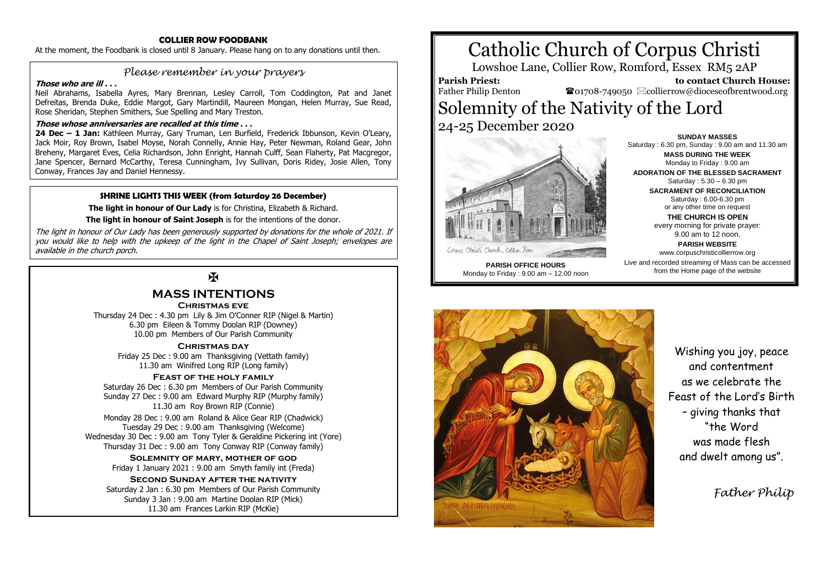### **COLLIER ROW FOODBANK**

At the moment, the Foodbank is closed until 8 January. Please hang on to any donations until then.

# *Please remember in your prayers*

### **Those who are ill . . .**

Neil Abrahams, Isabella Ayres, Mary Brennan, Lesley Carroll, Tom Coddington, Pat and Janet Defreitas, Brenda Duke, Eddie Margot, Gary Martindill, Maureen Mongan, Helen Murray, Sue Read, Rose Sheridan, Stephen Smithers, Sue Spelling and Mary Treston.

### **Those whose anniversaries are recalled at this time . . .**

**24 Dec – 1 Jan:** Kathleen Murray, Gary Truman, Len Burfield, Frederick Ibbunson, Kevin O'Leary, Jack Moir, Roy Brown, Isabel Moyse, Norah Connelly, Annie Hay, Peter Newman, Roland Gear, John Breheny, Margaret Eves, Celia Richardson, John Enright, Hannah Culff, Sean Flaherty, Pat Macgregor, Jane Spencer, Bernard McCarthy, Teresa Cunningham, Ivy Sullivan, Doris Ridey, Josie Allen, Tony Conway, Frances Jay and Daniel Hennessy.

### **SHRINE LIGHTS THIS WEEK (from Saturday 26 December)**

**The light in honour of Our Lady** is for Christina, Elizabeth & Richard.

**The light in honour of Saint Joseph** is for the intentions of the donor.

The light in honour of Our Lady has been generously supported by donations for the whole of 2021. If you would like to help with the upkeep of the light in the Chapel of Saint Joseph; envelopes are available in the church porch.

# $\mathbf K$

# **MASS INTENTIONS**

### **Christmas eve**

Thursday 24 Dec : 4.30 pm Lily & Jim O'Conner RIP (Nigel & Martin) 6.30 pm Eileen & Tommy Doolan RIP (Downey) 10.00 pm Members of Our Parish Community

### **Christmas day**

Friday 25 Dec : 9.00 am Thanksgiving (Vettath family) 11.30 am Winifred Long RIP (Long family)

### **Feast of the holy family**

Saturday 26 Dec : 6.30 pm Members of Our Parish Community Sunday 27 Dec : 9.00 am Edward Murphy RIP (Murphy family) 11.30 am Roy Brown RIP (Connie)

Monday 28 Dec : 9.00 am Roland & Alice Gear RIP (Chadwick) Tuesday 29 Dec : 9.00 am Thanksgiving (Welcome) Wednesday 30 Dec : 9.00 am Tony Tyler & Geraldine Pickering int (Yore) Thursday 31 Dec : 9.00 am Tony Conway RIP (Conway family)

> **Solemnity of mary, mother of god** Friday 1 January 2021 : 9.00 am Smyth family int (Freda)

### **Second Sunday after the nativity**

Saturday 2 Jan : 6.30 pm Members of Our Parish Community Sunday 3 Jan : 9.00 am Martine Doolan RIP (Mick) 11.30 am Frances Larkin RIP (McKie)

# Catholic Church of Corpus Christi

Lowshoe Lane, Collier Row, Romford, Essex RM5 2AP

# **Parish Priest:**

Father Philip Denton

 **to contact Church House:**  $\mathbf{\Omega}_{01708\text{-}749050}$   $\boxtimes$  collierrow@dioceseofbrentwood.org

# Solemnity of the Nativity of the Lord 24-25 December 2020



Saturday : 5.30 – 6.30 pm **SACRAMENT OF RECONCILIATION** Saturday : 6.00-6.30 pm or any other time on request **THE CHURCH IS OPEN** every morning for private prayer: 9.00 am to 12 noon. **PARISH WEBSITE** www.corpuschristicollierrow.org Live and recorded streaming of Mass can be accessed

from the Home page of the website

**SUNDAY MASSES** Saturday : 6.30 pm, Sunday : 9.00 am and 11.30 am **MASS DURING THE WEEK** Monday to Friday : 9.00 am **ADORATION OF THE BLESSED SACRAMENT**

**PARISH OFFICE HOURS** Monday to Friday : 9.00 am – 12.00 noon



Wishing you joy, peace and contentment as we celebrate the Feast of the Lord's Birth – giving thanks that "the Word was made flesh and dwelt among us".

 *Father Philip*